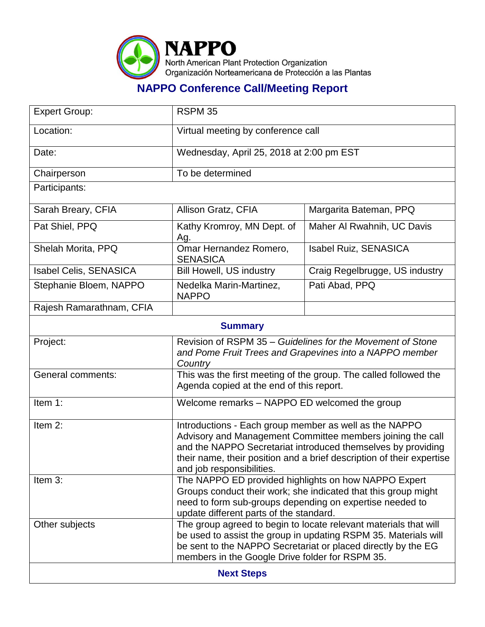

## **NAPPO Conference Call/Meeting Report**

| <b>Expert Group:</b>     | <b>RSPM 35</b>                                                                                                                                                                                                                                                                             |                                |  |  |
|--------------------------|--------------------------------------------------------------------------------------------------------------------------------------------------------------------------------------------------------------------------------------------------------------------------------------------|--------------------------------|--|--|
| Location:                | Virtual meeting by conference call                                                                                                                                                                                                                                                         |                                |  |  |
| Date:                    | Wednesday, April 25, 2018 at 2:00 pm EST                                                                                                                                                                                                                                                   |                                |  |  |
| Chairperson              | To be determined                                                                                                                                                                                                                                                                           |                                |  |  |
| Participants:            |                                                                                                                                                                                                                                                                                            |                                |  |  |
| Sarah Breary, CFIA       | Allison Gratz, CFIA                                                                                                                                                                                                                                                                        | Margarita Bateman, PPQ         |  |  |
| Pat Shiel, PPQ           | Kathy Kromroy, MN Dept. of<br>Ag.                                                                                                                                                                                                                                                          | Maher Al Rwahnih, UC Davis     |  |  |
| Shelah Morita, PPQ       | Omar Hernandez Romero,<br><b>SENASICA</b>                                                                                                                                                                                                                                                  | <b>Isabel Ruiz, SENASICA</b>   |  |  |
| Isabel Celis, SENASICA   | <b>Bill Howell, US industry</b>                                                                                                                                                                                                                                                            | Craig Regelbrugge, US industry |  |  |
| Stephanie Bloem, NAPPO   | Nedelka Marin-Martinez,<br><b>NAPPO</b>                                                                                                                                                                                                                                                    | Pati Abad, PPQ                 |  |  |
| Rajesh Ramarathnam, CFIA |                                                                                                                                                                                                                                                                                            |                                |  |  |
| <b>Summary</b>           |                                                                                                                                                                                                                                                                                            |                                |  |  |
| Project:                 | Revision of RSPM 35 – Guidelines for the Movement of Stone<br>and Pome Fruit Trees and Grapevines into a NAPPO member<br>Country                                                                                                                                                           |                                |  |  |
| General comments:        | This was the first meeting of the group. The called followed the<br>Agenda copied at the end of this report.                                                                                                                                                                               |                                |  |  |
| Item 1:                  | Welcome remarks - NAPPO ED welcomed the group                                                                                                                                                                                                                                              |                                |  |  |
| Item 2:                  | Introductions - Each group member as well as the NAPPO<br>Advisory and Management Committee members joining the call<br>and the NAPPO Secretariat introduced themselves by providing<br>their name, their position and a brief description of their expertise<br>and job responsibilities. |                                |  |  |
| Item 3:                  | The NAPPO ED provided highlights on how NAPPO Expert<br>Groups conduct their work; she indicated that this group might<br>need to form sub-groups depending on expertise needed to<br>update different parts of the standard.                                                              |                                |  |  |
| Other subjects           | The group agreed to begin to locate relevant materials that will<br>be used to assist the group in updating RSPM 35. Materials will<br>be sent to the NAPPO Secretariat or placed directly by the EG<br>members in the Google Drive folder for RSPM 35.                                    |                                |  |  |
| <b>Next Steps</b>        |                                                                                                                                                                                                                                                                                            |                                |  |  |